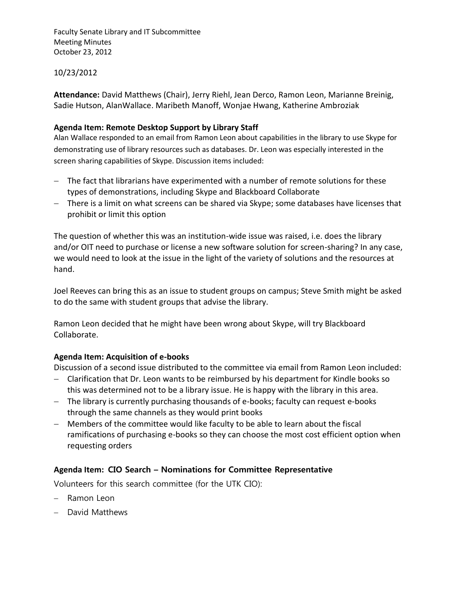Faculty Senate Library and IT Subcommittee Meeting Minutes October 23, 2012

## 10/23/2012

**Attendance:** David Matthews (Chair), Jerry Riehl, Jean Derco, Ramon Leon, Marianne Breinig, Sadie Hutson, AlanWallace. Maribeth Manoff, Wonjae Hwang, Katherine Ambroziak

## **Agenda Item: Remote Desktop Support by Library Staff**

Alan Wallace responded to an email from Ramon Leon about capabilities in the library to use Skype for demonstrating use of library resources such as databases. Dr. Leon was especially interested in the screen sharing capabilities of Skype. Discussion items included:

- The fact that librarians have experimented with a number of remote solutions for these types of demonstrations, including Skype and Blackboard Collaborate
- There is a limit on what screens can be shared via Skype; some databases have licenses that prohibit or limit this option

The question of whether this was an institution-wide issue was raised, i.e. does the library and/or OIT need to purchase or license a new software solution for screen-sharing? In any case, we would need to look at the issue in the light of the variety of solutions and the resources at hand.

Joel Reeves can bring this as an issue to student groups on campus; Steve Smith might be asked to do the same with student groups that advise the library.

Ramon Leon decided that he might have been wrong about Skype, will try Blackboard Collaborate.

# **Agenda Item: Acquisition of e-books**

Discussion of a second issue distributed to the committee via email from Ramon Leon included:

- Clarification that Dr. Leon wants to be reimbursed by his department for Kindle books so this was determined not to be a library issue. He is happy with the library in this area.
- The library is currently purchasing thousands of e-books; faculty can request e-books through the same channels as they would print books
- Members of the committee would like faculty to be able to learn about the fiscal ramifications of purchasing e-books so they can choose the most cost efficient option when requesting orders

# **Agenda Item: CIO Search – Nominations for Committee Representative**

Volunteers for this search committee (for the UTK CIO):

- Ramon Leon
- David Matthews